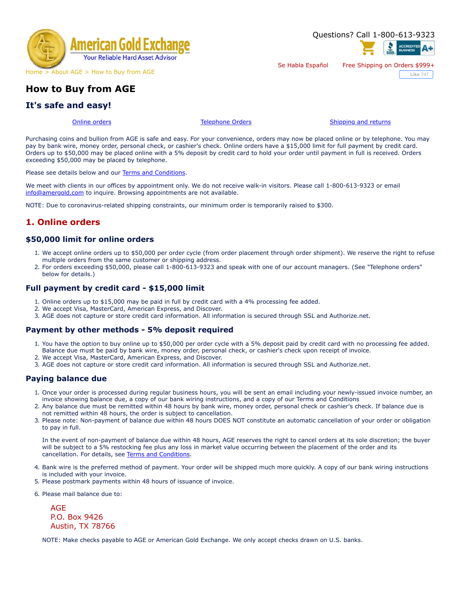

# **How to Buy from AGE**

# **It's safe and easy!**

[Online orders](#page-0-0) [Telephone Orders](#page-0-1) [Shipping and returns](#page-1-0)

Se Habla Español Free Shipping on Orders \$999+

Questions? Call 1-800-613-9323

**Like** 747

Purchasing coins and bullion from AGE is safe and easy. For your convenience, orders may now be placed online or by telephone. You may pay by bank wire, money order, personal check, or cashier's check. Online orders have a \$15,000 limit for full payment by credit card. Orders up to \$50,000 may be placed online with a 5% deposit by credit card to hold your order until payment in full is received. Orders exceeding \$50,000 may be placed by telephone.

Please see details below and our [Terms and Conditions.](https://www.amergold.com/about-age/terms-conditions.php)

We meet with clients in our offices by appointment only. We do not receive walk-in visitors. Please call 1-800-613-9323 or email [info@amergold.com](mailto:info@amergold.com) to inquire. Browsing appointments are not available.

NOTE: Due to coronavirus-related shipping constraints, our minimum order is temporarily raised to \$300.

## <span id="page-0-0"></span>**1. Online orders**

### **\$50,000 limit for online orders**

- 1. We accept online orders up to \$50,000 per order cycle (from order placement through order shipment). We reserve the right to refuse multiple orders from the same customer or shipping address.
- 2. For orders exceeding \$50,000, please call 1-800-613-9323 and speak with one of our account managers. (See "Telephone orders" below for details.)

#### **Full payment by credit card - \$15,000 limit**

- 1. Online orders up to \$15,000 may be paid in full by credit card with a 4% processing fee added.
- 2. We accept Visa, MasterCard, American Express, and Discover.
- 3. AGE does not capture or store credit card information. All information is secured through SSL and Authorize.net.

#### **Payment by other methods - 5% deposit required**

- 1. You have the option to buy online up to \$50,000 per order cycle with a 5% deposit paid by credit card with no processing fee added. Balance due must be paid by bank wire, money order, personal check, or cashier's check upon receipt of invoice.
- 2. We accept Visa, MasterCard, American Express, and Discover.
- 3. AGE does not capture or store credit card information. All information is secured through SSL and Authorize.net.

#### **Paying balance due**

- 1. Once your order is processed during regular business hours, you will be sent an email including your newly-issued invoice number, an invoice showing balance due, a copy of our bank wiring instructions, and a copy of our Terms and Conditions
- 2. Any balance due must be remitted within 48 hours by bank wire, money order, personal check or cashier's check. If balance due is not remitted within 48 hours, the order is subject to cancellation.
- 3. Please note: Non-payment of balance due within 48 hours DOES NOT constitute an automatic cancellation of your order or obligation to pay in full.

In the event of non-payment of balance due within 48 hours, AGE reserves the right to cancel orders at its sole discretion; the buyer will be subject to a 5% restocking fee plus any loss in market value occurring between the placement of the order and its cancellation. For details, see [Terms and Conditions.](https://www.amergold.com/about-age/terms-conditions.php)

- 4. Bank wire is the preferred method of payment. Your order will be shipped much more quickly. A copy of our bank wiring instructions is included with your invoice.
- 5. Please postmark payments within 48 hours of issuance of invoice.

6. Please mail balance due to:

AGE P.O. Box 9426 Austin, TX 78766

<span id="page-0-1"></span>NOTE: Make checks payable to AGE or American Gold Exchange. We only accept checks drawn on U.S. banks.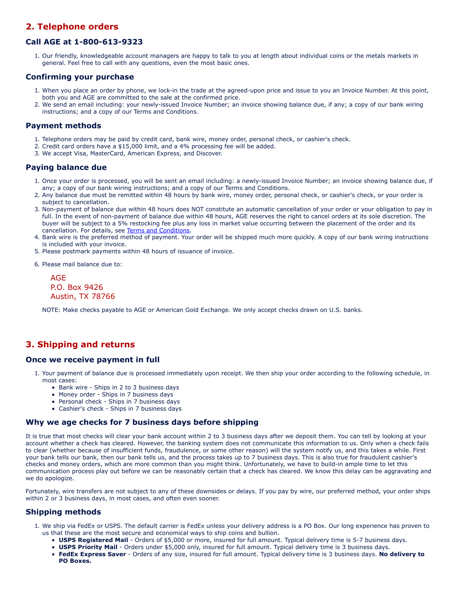# **2. Telephone orders**

### **Call AGE at 1-800-613-9323**

1. Our friendly, knowledgeable account managers are happy to talk to you at length about individual coins or the metals markets in general. Feel free to call with any questions, even the most basic ones.

#### **Confirming your purchase**

- 1. When you place an order by phone, we lock-in the trade at the agreed-upon price and issue to you an Invoice Number. At this point, both you and AGE are committed to the sale at the confirmed price.
- 2. We send an email including: your newly-issued Invoice Number; an invoice showing balance due, if any; a copy of our bank wiring instructions; and a copy of our Terms and Conditions.

#### **Payment methods**

- 1. Telephone orders may be paid by credit card, bank wire, money order, personal check, or cashier's check.
- 2. Credit card orders have a \$15,000 limit, and a 4% processing fee will be added.
- 3. We accept Visa, MasterCard, American Express, and Discover.

### **Paying balance due**

- 1. Once your order is processed, you will be sent an email including: a newly-issued Invoice Number; an invoice showing balance due, if any; a copy of our bank wiring instructions; and a copy of our Terms and Conditions.
- 2. Any balance due must be remitted within 48 hours by bank wire, money order, personal check, or cashier's check, or your order is subject to cancellation.
- 3. Non-payment of balance due within 48 hours does NOT constitute an automatic cancellation of your order or your obligation to pay in full. In the event of non-payment of balance due within 48 hours, AGE reserves the right to cancel orders at its sole discretion. The buyer will be subject to a 5% restocking fee plus any loss in market value occurring between the placement of the order and its cancellation. For details, see [Terms and Conditions.](https://www.amergold.com/about-age/terms-conditions.php)
- 4. Bank wire is the preferred method of payment. Your order will be shipped much more quickly. A copy of our bank wiring instructions is included with your invoice.
- 5. Please postmark payments within 48 hours of issuance of invoice.
- 6. Please mail balance due to:

AGE P.O. Box 9426 Austin, TX 78766

NOTE: Make checks payable to AGE or American Gold Exchange. We only accept checks drawn on U.S. banks.

## <span id="page-1-0"></span>**3. Shipping and returns**

#### **Once we receive payment in full**

- 1. Your payment of balance due is processed immediately upon receipt. We then ship your order according to the following schedule, in most cases:
	- Bank wire Ships in 2 to 3 business days
	- Money order Ships in 7 business days
	- Personal check Ships in 7 business days
	- Cashier's check Ships in 7 business days

#### **Why we age checks for 7 business days before shipping**

It is true that most checks will clear your bank account within 2 to 3 business days after we deposit them. You can tell by looking at your account whether a check has cleared. However, the banking system does not communicate this information to us. Only when a check fails to clear (whether because of insufficient funds, fraudulence, or some other reason) will the system notify us, and this takes a while. First your bank tells our bank, then our bank tells us, and the process takes up to 7 business days. This is also true for fraudulent cashier's checks and money orders, which are more common than you might think. Unfortunately, we have to build-in ample time to let this communication process play out before we can be reasonably certain that a check has cleared. We know this delay can be aggravating and we do apologize.

Fortunately, wire transfers are not subject to any of these downsides or delays. If you pay by wire, our preferred method, your order ships within 2 or 3 business days, in most cases, and often even sooner.

### **Shipping methods**

- 1. We ship via FedEx or USPS. The default carrier is FedEx unless your delivery address is a PO Box. Our long experience has proven to us that these are the most secure and economical ways to ship coins and bullion.
	- **USPS Registered Mail**  Orders of \$5,000 or more, insured for full amount. Typical delivery time is 5-7 business days.
	- **USPS Priority Mail**  Orders under \$5,000 only, insured for full amount. Typical delivery time is 3 business days.
	- **FedEx Express Saver**  Orders of any size, insured for full amount. Typical delivery time is 3 business days. **No delivery to PO Boxes.**